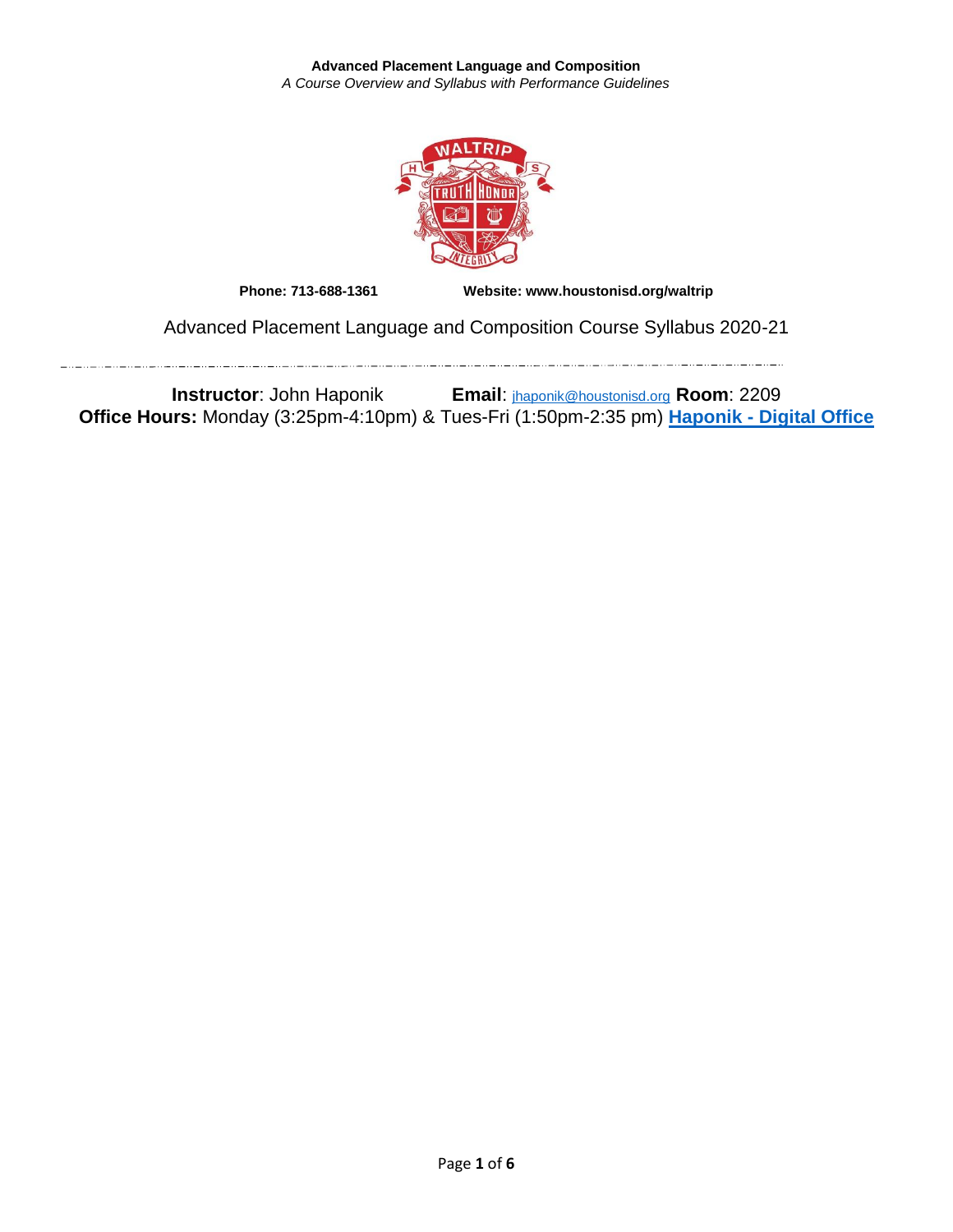

**Phone: 713-688-1361 Website: www.houstonisd.org/waltrip**

Advanced Placement Language and Composition Course Syllabus 2020-21

**Instructor**: John Haponik **Email**: [jhaponik@houstonisd.org](mailto:jhaponik@houstonisd.org) **Room**: 2209 **Office Hours:** Monday (3:25pm-4:10pm) & Tues-Fri (1:50pm-2:35 pm) **Haponik - [Digital Office](https://teams.microsoft.com/l/channel/19%3a7f6e6332137048adac4f6ec5eda18a5e%40thread.tacv2/General?groupId=05e1425c-f49e-4243-a491-a07bded57e39&tenantId=f5eb9966-9336-4b33-8895-9982425b13ed)**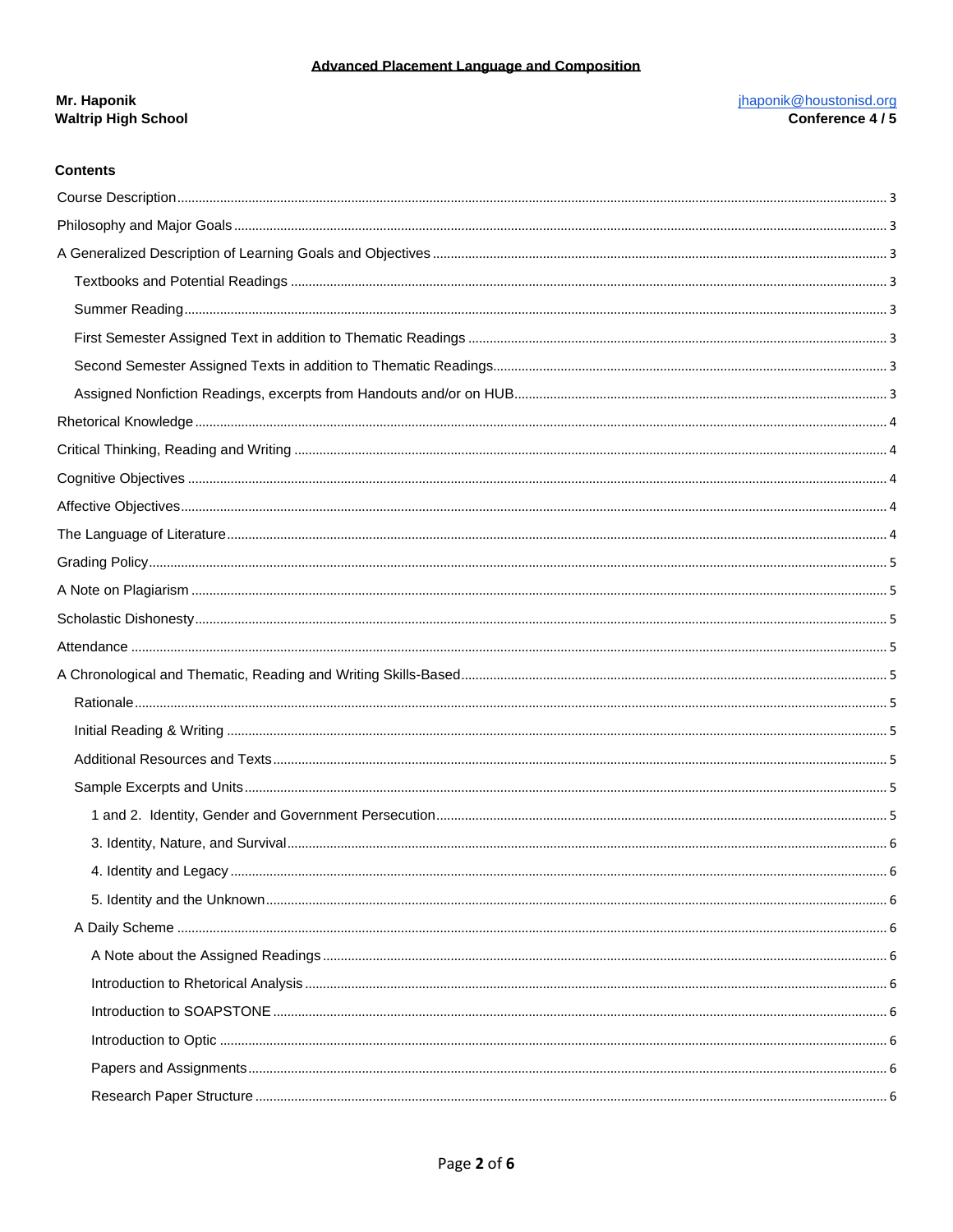# jhaponik@houstonisd.org<br>Conference 4 / 5 Mr. Haponik **Waltrip High School**

## **Contents**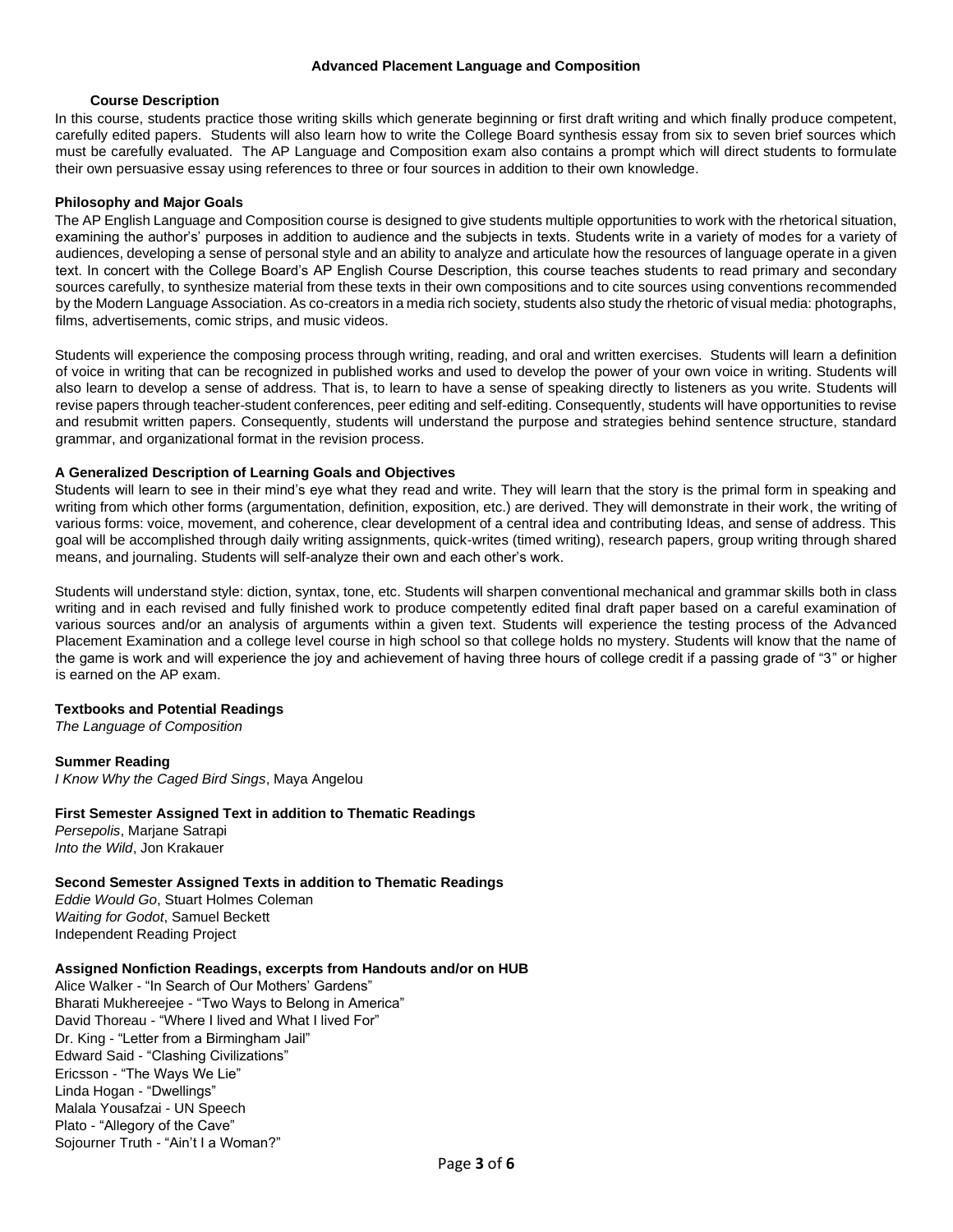#### **Course Description**

<span id="page-2-0"></span>In this course, students practice those writing skills which generate beginning or first draft writing and which finally produce competent, carefully edited papers. Students will also learn how to write the College Board synthesis essay from six to seven brief sources which must be carefully evaluated. The AP Language and Composition exam also contains a prompt which will direct students to formulate their own persuasive essay using references to three or four sources in addition to their own knowledge.

#### <span id="page-2-1"></span>**Philosophy and Major Goals**

The AP English Language and Composition course is designed to give students multiple opportunities to work with the rhetorical situation, examining the author's' purposes in addition to audience and the subjects in texts. Students write in a variety of modes for a variety of audiences, developing a sense of personal style and an ability to analyze and articulate how the resources of language operate in a given text. In concert with the College Board's AP English Course Description, this course teaches students to read primary and secondary sources carefully, to synthesize material from these texts in their own compositions and to cite sources using conventions recommended by the Modern Language Association. As co-creators in a media rich society, students also study the rhetoric of visual media: photographs, films, advertisements, comic strips, and music videos.

Students will experience the composing process through writing, reading, and oral and written exercises. Students will learn a definition of voice in writing that can be recognized in published works and used to develop the power of your own voice in writing. Students will also learn to develop a sense of address. That is, to learn to have a sense of speaking directly to listeners as you write. Students will revise papers through teacher-student conferences, peer editing and self-editing. Consequently, students will have opportunities to revise and resubmit written papers. Consequently, students will understand the purpose and strategies behind sentence structure, standard grammar, and organizational format in the revision process.

## <span id="page-2-2"></span>**A Generalized Description of Learning Goals and Objectives**

Students will learn to see in their mind's eye what they read and write. They will learn that the story is the primal form in speaking and writing from which other forms (argumentation, definition, exposition, etc.) are derived. They will demonstrate in their work, the writing of various forms: voice, movement, and coherence, clear development of a central idea and contributing Ideas, and sense of address. This goal will be accomplished through daily writing assignments, quick-writes (timed writing), research papers, group writing through shared means, and journaling. Students will self-analyze their own and each other's work.

Students will understand style: diction, syntax, tone, etc. Students will sharpen conventional mechanical and grammar skills both in class writing and in each revised and fully finished work to produce competently edited final draft paper based on a careful examination of various sources and/or an analysis of arguments within a given text. Students will experience the testing process of the Advanced Placement Examination and a college level course in high school so that college holds no mystery. Students will know that the name of the game is work and will experience the joy and achievement of having three hours of college credit if a passing grade of "3" or higher is earned on the AP exam.

#### <span id="page-2-3"></span>**Textbooks and Potential Readings**

*The Language of Composition* 

<span id="page-2-4"></span>**Summer Reading**  *I Know Why the Caged Bird Sings*, Maya Angelou

## <span id="page-2-5"></span>**First Semester Assigned Text in addition to Thematic Readings**

*Persepolis*, Marjane Satrapi *Into the Wild*, Jon Krakauer

## <span id="page-2-6"></span>**Second Semester Assigned Texts in addition to Thematic Readings**

*Eddie Would Go*, Stuart Holmes Coleman *Waiting for Godot*, Samuel Beckett Independent Reading Project

## <span id="page-2-7"></span>**Assigned Nonfiction Readings, excerpts from Handouts and/or on HUB**

Alice Walker - "In Search of Our Mothers' Gardens" Bharati Mukhereejee - "Two Ways to Belong in America" David Thoreau - "Where I lived and What I lived For" Dr. King - "Letter from a Birmingham Jail" Edward Said - "Clashing Civilizations" Ericsson - "The Ways We Lie" Linda Hogan - "Dwellings" Malala Yousafzai - UN Speech Plato - "Allegory of the Cave" Sojourner Truth - "Ain't I a Woman?"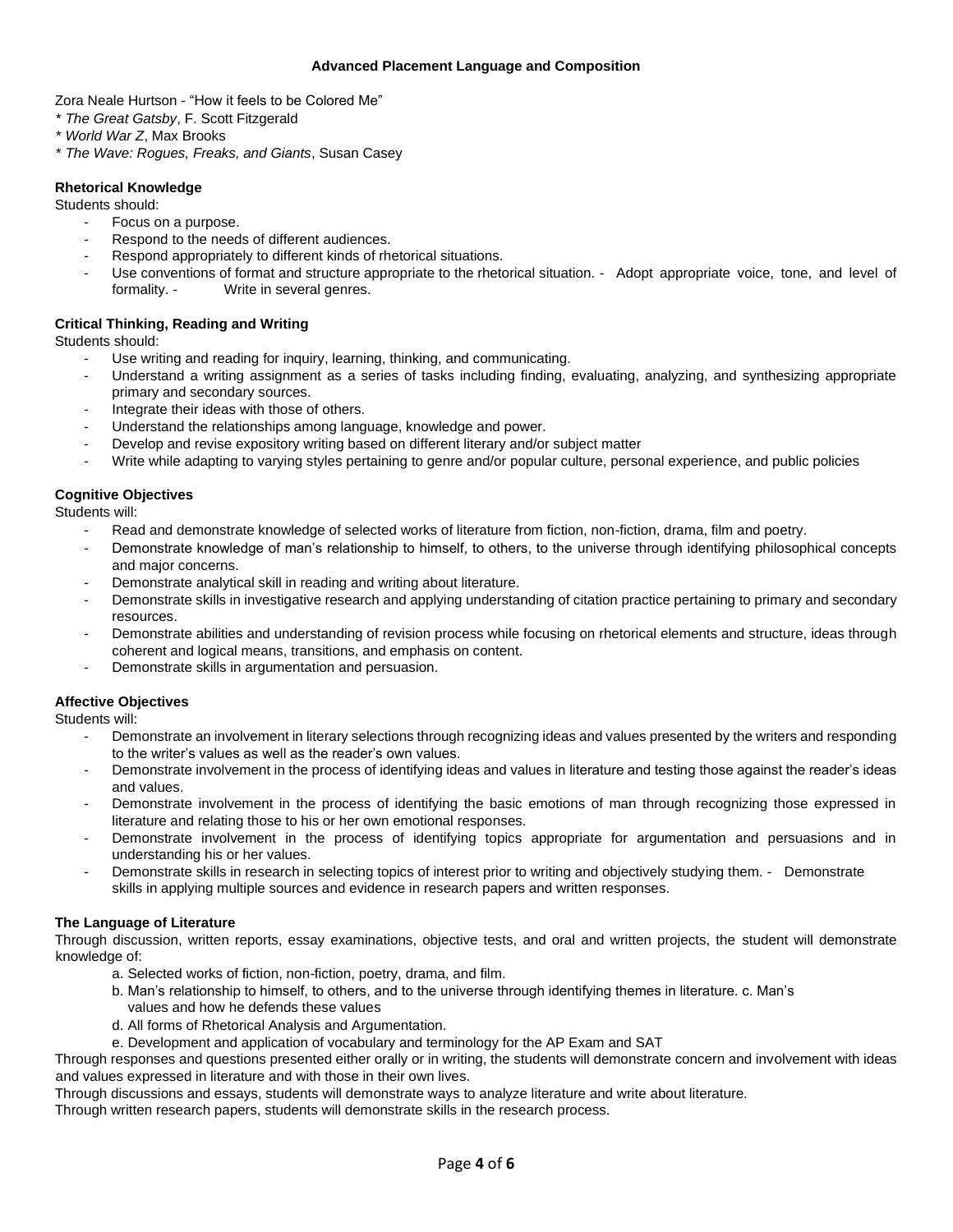Zora Neale Hurtson - "How it feels to be Colored Me"

- \* *The Great Gatsby*, F. Scott Fitzgerald
- \* *World War Z*, Max Brooks
- \* *The Wave: Rogues, Freaks, and Giants*, Susan Casey

#### <span id="page-3-0"></span>**Rhetorical Knowledge**

Students should:

- Focus on a purpose.
- Respond to the needs of different audiences.
- Respond appropriately to different kinds of rhetorical situations.
- Use conventions of format and structure appropriate to the rhetorical situation. Adopt appropriate voice, tone, and level of formality. - Write in several genres.

#### <span id="page-3-1"></span>**Critical Thinking, Reading and Writing**

Students should:

- Use writing and reading for inquiry, learning, thinking, and communicating.
- Understand a writing assignment as a series of tasks including finding, evaluating, analyzing, and synthesizing appropriate primary and secondary sources.
- Integrate their ideas with those of others.
- Understand the relationships among language, knowledge and power.
- Develop and revise expository writing based on different literary and/or subject matter
- Write while adapting to varying styles pertaining to genre and/or popular culture, personal experience, and public policies

## <span id="page-3-2"></span>**Cognitive Objectives**

Students will:

- Read and demonstrate knowledge of selected works of literature from fiction, non-fiction, drama, film and poetry.
- Demonstrate knowledge of man's relationship to himself, to others, to the universe through identifying philosophical concepts and major concerns.
- Demonstrate analytical skill in reading and writing about literature.
- Demonstrate skills in investigative research and applying understanding of citation practice pertaining to primary and secondary resources.
- Demonstrate abilities and understanding of revision process while focusing on rhetorical elements and structure, ideas through coherent and logical means, transitions, and emphasis on content.
- Demonstrate skills in argumentation and persuasion.

## <span id="page-3-3"></span>**Affective Objectives**

Students will:

- Demonstrate an involvement in literary selections through recognizing ideas and values presented by the writers and responding to the writer's values as well as the reader's own values.
- Demonstrate involvement in the process of identifying ideas and values in literature and testing those against the reader's ideas and values.
- Demonstrate involvement in the process of identifying the basic emotions of man through recognizing those expressed in literature and relating those to his or her own emotional responses.
- Demonstrate involvement in the process of identifying topics appropriate for argumentation and persuasions and in understanding his or her values.
- Demonstrate skills in research in selecting topics of interest prior to writing and objectively studying them. Demonstrate skills in applying multiple sources and evidence in research papers and written responses.

# <span id="page-3-4"></span>**The Language of Literature**

Through discussion, written reports, essay examinations, objective tests, and oral and written projects, the student will demonstrate knowledge of:

- a. Selected works of fiction, non-fiction, poetry, drama, and film.
- b. Man's relationship to himself, to others, and to the universe through identifying themes in literature. c. Man's values and how he defends these values
- d. All forms of Rhetorical Analysis and Argumentation.
- e. Development and application of vocabulary and terminology for the AP Exam and SAT

Through responses and questions presented either orally or in writing, the students will demonstrate concern and involvement with ideas and values expressed in literature and with those in their own lives.

Through discussions and essays, students will demonstrate ways to analyze literature and write about literature.

Through written research papers, students will demonstrate skills in the research process.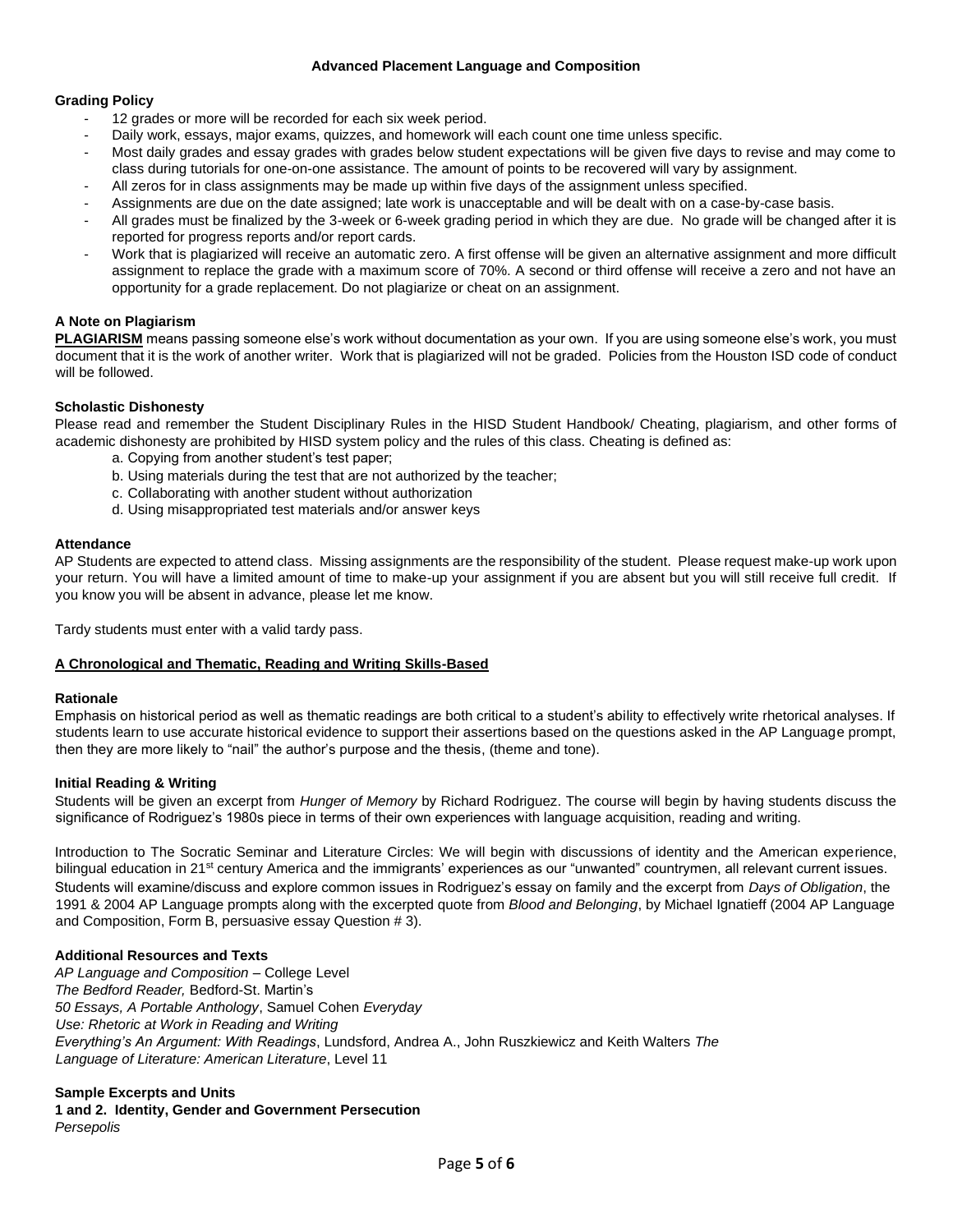## <span id="page-4-0"></span>**Grading Policy**

- 12 grades or more will be recorded for each six week period.
- Daily work, essays, major exams, quizzes, and homework will each count one time unless specific.
- Most daily grades and essay grades with grades below student expectations will be given five days to revise and may come to class during tutorials for one-on-one assistance. The amount of points to be recovered will vary by assignment.
- All zeros for in class assignments may be made up within five days of the assignment unless specified.
- Assignments are due on the date assigned; late work is unacceptable and will be dealt with on a case-by-case basis.
- All grades must be finalized by the 3-week or 6-week grading period in which they are due. No grade will be changed after it is reported for progress reports and/or report cards.
- Work that is plagiarized will receive an automatic zero. A first offense will be given an alternative assignment and more difficult assignment to replace the grade with a maximum score of 70%. A second or third offense will receive a zero and not have an opportunity for a grade replacement. Do not plagiarize or cheat on an assignment.

# <span id="page-4-1"></span>**A Note on Plagiarism**

**PLAGIARISM** means passing someone else's work without documentation as your own. If you are using someone else's work, you must document that it is the work of another writer. Work that is plagiarized will not be graded. Policies from the Houston ISD code of conduct will be followed.

## <span id="page-4-2"></span>**Scholastic Dishonesty**

Please read and remember the Student Disciplinary Rules in the HISD Student Handbook/ Cheating, plagiarism, and other forms of academic dishonesty are prohibited by HISD system policy and the rules of this class. Cheating is defined as:

- a. Copying from another student's test paper;
- b. Using materials during the test that are not authorized by the teacher;
- c. Collaborating with another student without authorization
- d. Using misappropriated test materials and/or answer keys

## <span id="page-4-3"></span>**Attendance**

AP Students are expected to attend class. Missing assignments are the responsibility of the student. Please request make-up work upon your return. You will have a limited amount of time to make-up your assignment if you are absent but you will still receive full credit. If you know you will be absent in advance, please let me know.

Tardy students must enter with a valid tardy pass.

# <span id="page-4-4"></span>**A Chronological and Thematic, Reading and Writing Skills-Based**

## <span id="page-4-5"></span>**Rationale**

Emphasis on historical period as well as thematic readings are both critical to a student's ability to effectively write rhetorical analyses. If students learn to use accurate historical evidence to support their assertions based on the questions asked in the AP Language prompt, then they are more likely to "nail" the author's purpose and the thesis, (theme and tone).

## <span id="page-4-6"></span>**Initial Reading & Writing**

Students will be given an excerpt from *Hunger of Memory* by Richard Rodriguez. The course will begin by having students discuss the significance of Rodriguez's 1980s piece in terms of their own experiences with language acquisition, reading and writing.

Introduction to The Socratic Seminar and Literature Circles: We will begin with discussions of identity and the American experience, bilingual education in 21<sup>st</sup> century America and the immigrants' experiences as our "unwanted" countrymen, all relevant current issues. Students will examine/discuss and explore common issues in Rodriguez's essay on family and the excerpt from *Days of Obligation*, the 1991 & 2004 AP Language prompts along with the excerpted quote from *Blood and Belonging*, by Michael Ignatieff (2004 AP Language and Composition, Form B, persuasive essay Question # 3).

# <span id="page-4-7"></span>**Additional Resources and Texts**

*AP Language and Composition* – College Level *The Bedford Reader,* Bedford-St. Martin's *50 Essays, A Portable Anthology*, Samuel Cohen *Everyday Use: Rhetoric at Work in Reading and Writing Everything's An Argument: With Readings*, Lundsford, Andrea A., John Ruszkiewicz and Keith Walters *The Language of Literature: American Literature*, Level 11

## <span id="page-4-8"></span>**Sample Excerpts and Units**

<span id="page-4-9"></span>**1 and 2. Identity, Gender and Government Persecution**  *Persepolis*